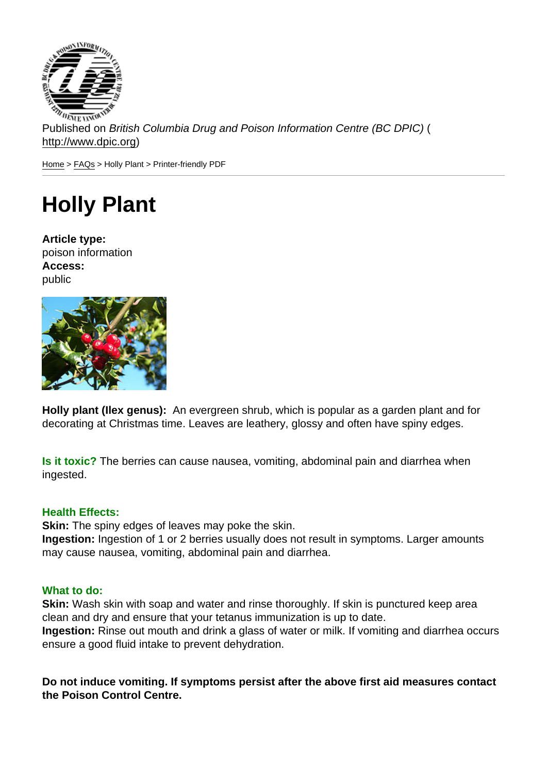Published on British Columbia Drug and Poison Information Centre (BC DPIC) ( http://www.dpic.org)

Home > FAQs > Holly Plant > Printer-friendly PDF

## [Ho](http://www.dpic.org/)[lly](http://www.dpic.org/faq) Plant

Article type: poison information Access: public

Holly plant (Ilex genus): An evergreen shrub, which is popular as a garden plant and for decorating at Christmas time. Leaves are leathery, glossy and often have spiny edges.

Is it toxic? The berries can cause nausea, vomiting, abdominal pain and diarrhea when ingested.

## Health Effects:

Skin: The spiny edges of leaves may poke the skin.

Ingestion: Ingestion of 1 or 2 berries usually does not result in symptoms. Larger amounts may cause nausea, vomiting, abdominal pain and diarrhea.

## What to do:

Skin: Wash skin with soap and water and rinse thoroughly. If skin is punctured keep area clean and dry and ensure that your tetanus immunization is up to date. Ingestion: Rinse out mouth and drink a glass of water or milk. If vomiting and diarrhea occurs ensure a good fluid intake to prevent dehydration.

Do not induce vomiting. If symptoms persist after the above first aid measures contact the Poison Control Centre.